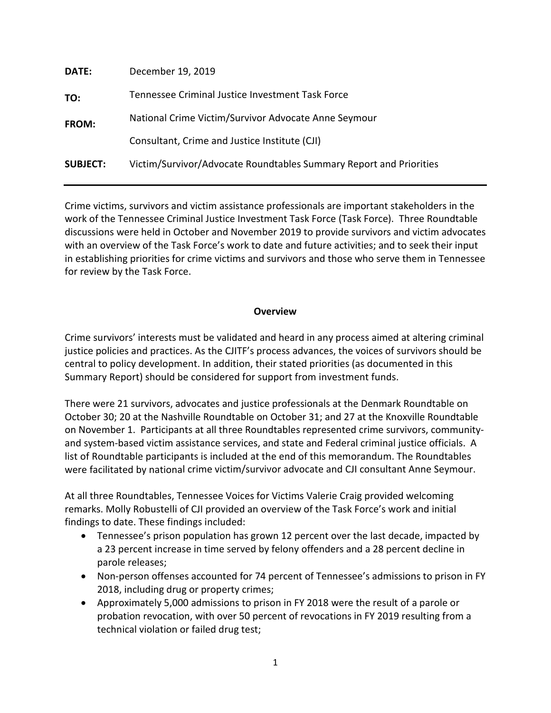| <b>DATE:</b>    | December 19, 2019                                                  |  |
|-----------------|--------------------------------------------------------------------|--|
| TO:             | Tennessee Criminal Justice Investment Task Force                   |  |
| FROM:           | National Crime Victim/Survivor Advocate Anne Seymour               |  |
|                 | Consultant, Crime and Justice Institute (CJI)                      |  |
| <b>SUBJECT:</b> | Victim/Survivor/Advocate Roundtables Summary Report and Priorities |  |
|                 |                                                                    |  |

Crime victims, survivors and victim assistance professionals are important stakeholders in the work of the Tennessee Criminal Justice Investment Task Force (Task Force). Three Roundtable discussions were held in October and November 2019 to provide survivors and victim advocates with an overview of the Task Force's work to date and future activities; and to seek their input in establishing priorities for crime victims and survivors and those who serve them in Tennessee for review by the Task Force.

### **Overview**

Crime survivors' interests must be validated and heard in any process aimed at altering criminal justice policies and practices. As the CJITF's process advances, the voices of survivors should be central to policy development. In addition, their stated priorities (as documented in this Summary Report) should be considered for support from investment funds.

There were 21 survivors, advocates and justice professionals at the Denmark Roundtable on October 30; 20 at the Nashville Roundtable on October 31; and 27 at the Knoxville Roundtable on November 1. Participants at all three Roundtables represented crime survivors, communityand system-based victim assistance services, and state and Federal criminal justice officials. A list of Roundtable participants is included at the end of this memorandum. The Roundtables were facilitated by national crime victim/survivor advocate and CJI consultant Anne Seymour.

At all three Roundtables, Tennessee Voices for Victims Valerie Craig provided welcoming remarks. Molly Robustelli of CJI provided an overview of the Task Force's work and initial findings to date. These findings included:

- Tennessee's prison population has grown 12 percent over the last decade, impacted by a 23 percent increase in time served by felony offenders and a 28 percent decline in parole releases;
- Non-person offenses accounted for 74 percent of Tennessee's admissions to prison in FY 2018, including drug or property crimes;
- Approximately 5,000 admissions to prison in FY 2018 were the result of a parole or probation revocation, with over 50 percent of revocations in FY 2019 resulting from a technical violation or failed drug test;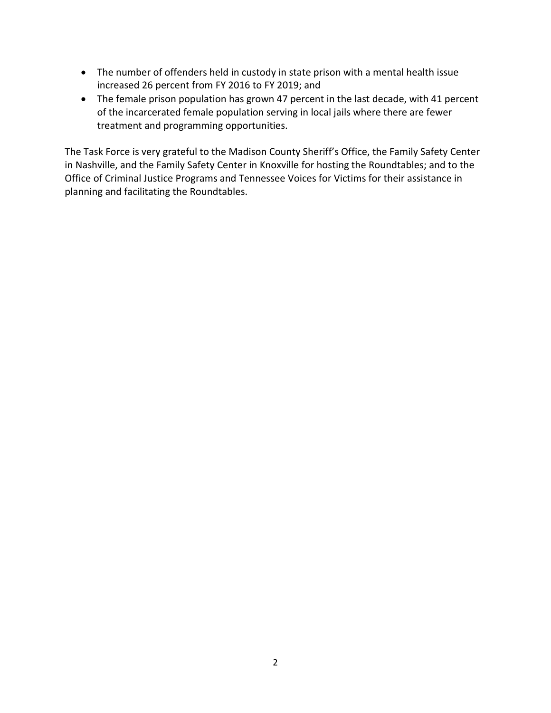- The number of offenders held in custody in state prison with a mental health issue increased 26 percent from FY 2016 to FY 2019; and
- The female prison population has grown 47 percent in the last decade, with 41 percent of the incarcerated female population serving in local jails where there are fewer treatment and programming opportunities.

The Task Force is very grateful to the Madison County Sheriff's Office, the Family Safety Center in Nashville, and the Family Safety Center in Knoxville for hosting the Roundtables; and to the Office of Criminal Justice Programs and Tennessee Voices for Victims for their assistance in planning and facilitating the Roundtables.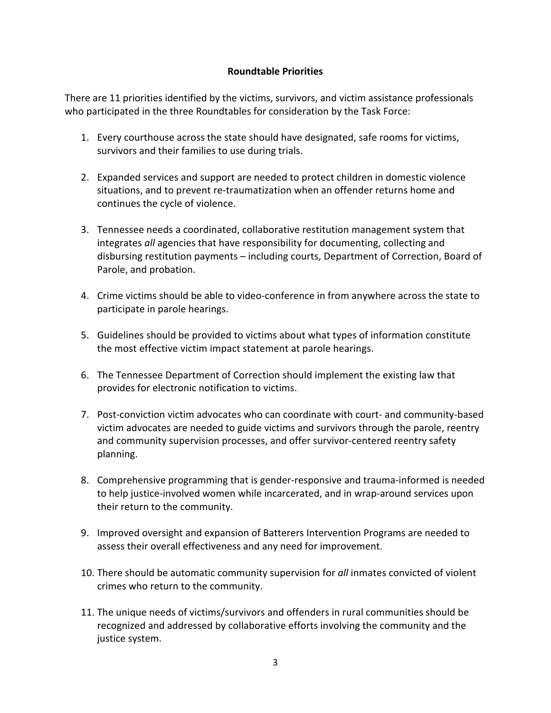### **Roundtable Priorities**

There are 11 priorities identified by the victims, survivors, and victim assistance professionals who participated in the three Roundtables for consideration by the Task Force:

- 1. Every courthouse across the state should have designated, safe rooms for victims, survivors and their families to use during trials.
- 2. Expanded services and support are needed to protect children in domestic violence situations, and to prevent re-traumatization when an offender returns home and continues the cycle of violence.
- 3. Tennessee needs a coordinated, collaborative restitution management system that integrates *all* agencies that have responsibility for documenting, collecting and disbursing restitution payments – including courts, Department of Correction, Board of Parole, and probation.
- 4. Crime victims should be able to video-conference in from anywhere across the state to participate in parole hearings.
- 5. Guidelines should be provided to victims about what types of information constitute the most effective victim impact statement at parole hearings.
- 6. The Tennessee Department of Correction should implement the existing law that provides for electronic notification to victims.
- 7. Post-conviction victim advocates who can coordinate with court- and community-based victim advocates are needed to guide victims and survivors through the parole, reentry and community supervision processes, and offer survivor-centered reentry safety planning.
- 8. Comprehensive programming that is gender-responsive and trauma-informed is needed to help justice-involved women while incarcerated, and in wrap-around services upon their return to the community.
- 9. Improved oversight and expansion of Batterers Intervention Programs are needed to assess their overall effectiveness and any need for improvement.
- 10. There should be automatic community supervision for *all* inmates convicted of violent crimes who return to the community.
- 11. The unique needs of victims/survivors and offenders in rural communities should be recognized and addressed by collaborative efforts involving the community and the justice system.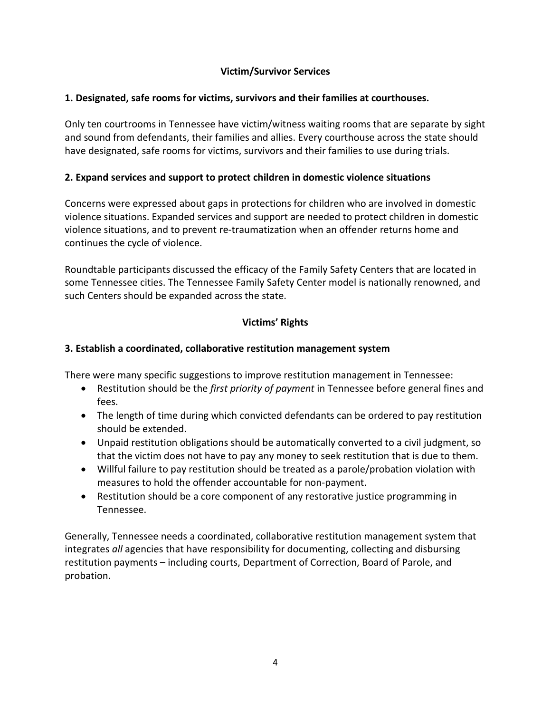# **Victim/Survivor Services**

# **1. Designated, safe rooms for victims, survivors and their families at courthouses.**

Only ten courtrooms in Tennessee have victim/witness waiting rooms that are separate by sight and sound from defendants, their families and allies. Every courthouse across the state should have designated, safe rooms for victims, survivors and their families to use during trials.

# **2. Expand services and support to protect children in domestic violence situations**

Concerns were expressed about gaps in protections for children who are involved in domestic violence situations. Expanded services and support are needed to protect children in domestic violence situations, and to prevent re-traumatization when an offender returns home and continues the cycle of violence.

Roundtable participants discussed the efficacy of the Family Safety Centers that are located in some Tennessee cities. The Tennessee Family Safety Center model is nationally renowned, and such Centers should be expanded across the state.

# **Victims' Rights**

# **3. Establish a coordinated, collaborative restitution management system**

There were many specific suggestions to improve restitution management in Tennessee:

- Restitution should be the *first priority of payment* in Tennessee before general fines and fees.
- The length of time during which convicted defendants can be ordered to pay restitution should be extended.
- Unpaid restitution obligations should be automatically converted to a civil judgment, so that the victim does not have to pay any money to seek restitution that is due to them.
- Willful failure to pay restitution should be treated as a parole/probation violation with measures to hold the offender accountable for non-payment.
- Restitution should be a core component of any restorative justice programming in Tennessee.

Generally, Tennessee needs a coordinated, collaborative restitution management system that integrates *all* agencies that have responsibility for documenting, collecting and disbursing restitution payments – including courts, Department of Correction, Board of Parole, and probation.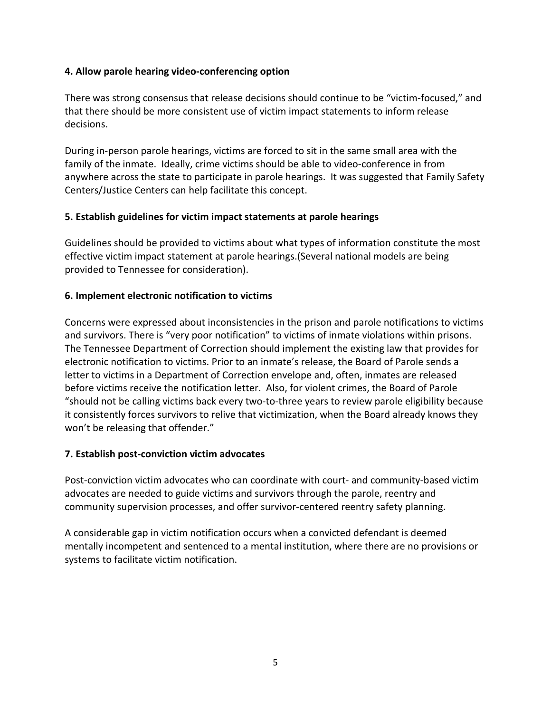### **4. Allow parole hearing video-conferencing option**

There was strong consensus that release decisions should continue to be "victim-focused," and that there should be more consistent use of victim impact statements to inform release decisions.

During in-person parole hearings, victims are forced to sit in the same small area with the family of the inmate. Ideally, crime victims should be able to video-conference in from anywhere across the state to participate in parole hearings. It was suggested that Family Safety Centers/Justice Centers can help facilitate this concept.

### **5. Establish guidelines for victim impact statements at parole hearings**

Guidelines should be provided to victims about what types of information constitute the most effective victim impact statement at parole hearings.(Several national models are being provided to Tennessee for consideration).

### **6. Implement electronic notification to victims**

Concerns were expressed about inconsistencies in the prison and parole notifications to victims and survivors. There is "very poor notification" to victims of inmate violations within prisons. The Tennessee Department of Correction should implement the existing law that provides for electronic notification to victims. Prior to an inmate's release, the Board of Parole sends a letter to victims in a Department of Correction envelope and, often, inmates are released before victims receive the notification letter. Also, for violent crimes, the Board of Parole "should not be calling victims back every two-to-three years to review parole eligibility because it consistently forces survivors to relive that victimization, when the Board already knows they won't be releasing that offender."

#### **7. Establish post-conviction victim advocates**

Post-conviction victim advocates who can coordinate with court- and community-based victim advocates are needed to guide victims and survivors through the parole, reentry and community supervision processes, and offer survivor-centered reentry safety planning.

A considerable gap in victim notification occurs when a convicted defendant is deemed mentally incompetent and sentenced to a mental institution, where there are no provisions or systems to facilitate victim notification.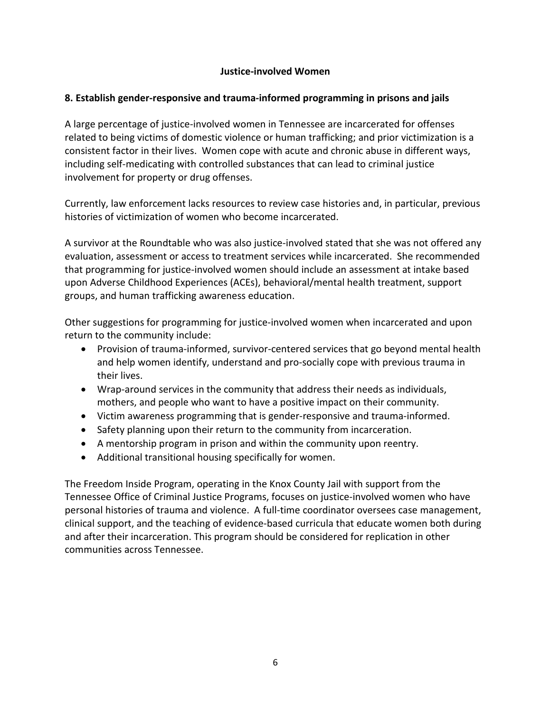### **Justice-involved Women**

### **8. Establish gender-responsive and trauma-informed programming in prisons and jails**

A large percentage of justice-involved women in Tennessee are incarcerated for offenses related to being victims of domestic violence or human trafficking; and prior victimization is a consistent factor in their lives. Women cope with acute and chronic abuse in different ways, including self-medicating with controlled substances that can lead to criminal justice involvement for property or drug offenses.

Currently, law enforcement lacks resources to review case histories and, in particular, previous histories of victimization of women who become incarcerated.

A survivor at the Roundtable who was also justice-involved stated that she was not offered any evaluation, assessment or access to treatment services while incarcerated. She recommended that programming for justice-involved women should include an assessment at intake based upon Adverse Childhood Experiences (ACEs), behavioral/mental health treatment, support groups, and human trafficking awareness education.

Other suggestions for programming for justice-involved women when incarcerated and upon return to the community include:

- Provision of trauma-informed, survivor-centered services that go beyond mental health and help women identify, understand and pro-socially cope with previous trauma in their lives.
- Wrap-around services in the community that address their needs as individuals, mothers, and people who want to have a positive impact on their community.
- Victim awareness programming that is gender-responsive and trauma-informed.
- Safety planning upon their return to the community from incarceration.
- A mentorship program in prison and within the community upon reentry.
- Additional transitional housing specifically for women.

The Freedom Inside Program, operating in the Knox County Jail with support from the Tennessee Office of Criminal Justice Programs, focuses on justice-involved women who have personal histories of trauma and violence. A full-time coordinator oversees case management, clinical support, and the teaching of evidence-based curricula that educate women both during and after their incarceration. This program should be considered for replication in other communities across Tennessee.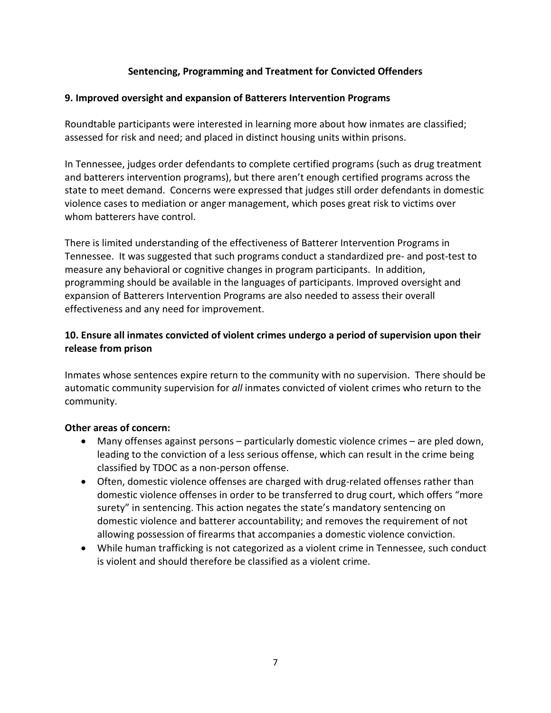# **Sentencing, Programming and Treatment for Convicted Offenders**

# **9. Improved oversight and expansion of Batterers Intervention Programs**

Roundtable participants were interested in learning more about how inmates are classified; assessed for risk and need; and placed in distinct housing units within prisons.

In Tennessee, judges order defendants to complete certified programs (such as drug treatment and batterers intervention programs), but there aren't enough certified programs across the state to meet demand. Concerns were expressed that judges still order defendants in domestic violence cases to mediation or anger management, which poses great risk to victims over whom batterers have control.

There is limited understanding of the effectiveness of Batterer Intervention Programs in Tennessee. It was suggested that such programs conduct a standardized pre- and post-test to measure any behavioral or cognitive changes in program participants. In addition, programming should be available in the languages of participants. Improved oversight and expansion of Batterers Intervention Programs are also needed to assess their overall effectiveness and any need for improvement.

# **10. Ensure all inmates convicted of violent crimes undergo a period of supervision upon their release from prison**

Inmates whose sentences expire return to the community with no supervision. There should be automatic community supervision for *all* inmates convicted of violent crimes who return to the community.

# **Other areas of concern:**

- Many offenses against persons particularly domestic violence crimes are pled down, leading to the conviction of a less serious offense, which can result in the crime being classified by TDOC as a non-person offense.
- Often, domestic violence offenses are charged with drug-related offenses rather than domestic violence offenses in order to be transferred to drug court, which offers "more surety" in sentencing. This action negates the state's mandatory sentencing on domestic violence and batterer accountability; and removes the requirement of not allowing possession of firearms that accompanies a domestic violence conviction.
- While human trafficking is not categorized as a violent crime in Tennessee, such conduct is violent and should therefore be classified as a violent crime.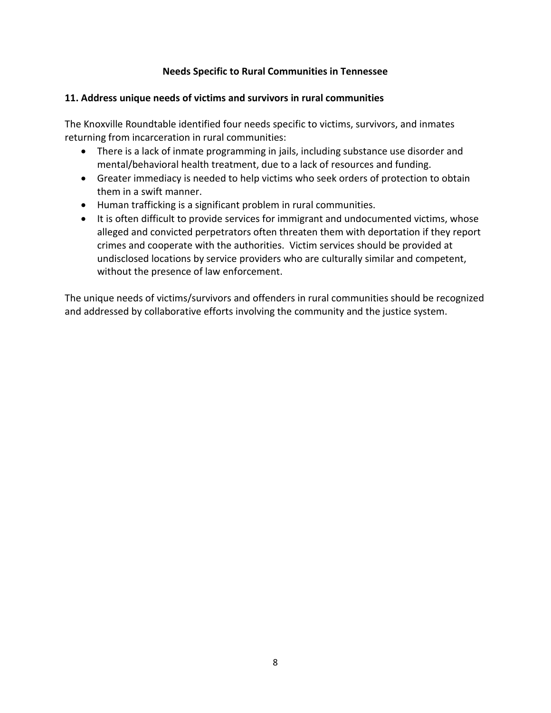# **Needs Specific to Rural Communities in Tennessee**

# **11. Address unique needs of victims and survivors in rural communities**

The Knoxville Roundtable identified four needs specific to victims, survivors, and inmates returning from incarceration in rural communities:

- There is a lack of inmate programming in jails, including substance use disorder and mental/behavioral health treatment, due to a lack of resources and funding.
- Greater immediacy is needed to help victims who seek orders of protection to obtain them in a swift manner.
- Human trafficking is a significant problem in rural communities.
- It is often difficult to provide services for immigrant and undocumented victims, whose alleged and convicted perpetrators often threaten them with deportation if they report crimes and cooperate with the authorities. Victim services should be provided at undisclosed locations by service providers who are culturally similar and competent, without the presence of law enforcement.

The unique needs of victims/survivors and offenders in rural communities should be recognized and addressed by collaborative efforts involving the community and the justice system.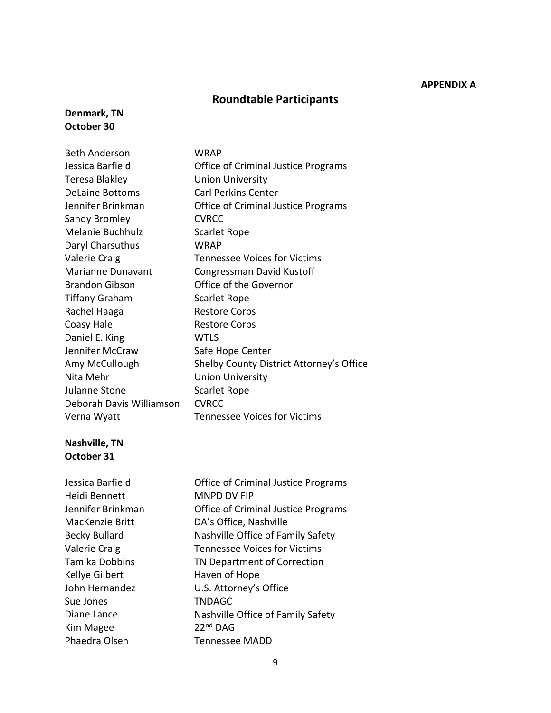#### **APPENDIX A**

### **Roundtable Participants**

#### **Denmark, TN October 30**

| <b>Beth Anderson</b>     | <b>WRAP</b>                                |
|--------------------------|--------------------------------------------|
| Jessica Barfield         | <b>Office of Criminal Justice Programs</b> |
| Teresa Blakley           | <b>Union University</b>                    |
| <b>DeLaine Bottoms</b>   | <b>Carl Perkins Center</b>                 |
| Jennifer Brinkman        | Office of Criminal Justice Programs        |
| Sandy Bromley            | <b>CVRCC</b>                               |
| Melanie Buchhulz         | <b>Scarlet Rope</b>                        |
| Daryl Charsuthus         | <b>WRAP</b>                                |
| Valerie Craig            | <b>Tennessee Voices for Victims</b>        |
| Marianne Dunavant        | Congressman David Kustoff                  |
| <b>Brandon Gibson</b>    | Office of the Governor                     |
| <b>Tiffany Graham</b>    | <b>Scarlet Rope</b>                        |
| Rachel Haaga             | <b>Restore Corps</b>                       |
| Coasy Hale               | <b>Restore Corps</b>                       |
| Daniel E. King           | <b>WTLS</b>                                |
| Jennifer McCraw          | Safe Hope Center                           |
| Amy McCullough           | Shelby County District Attorney's Office   |
| Nita Mehr                | <b>Union University</b>                    |
| Julanne Stone            | <b>Scarlet Rope</b>                        |
| Deborah Davis Williamson | <b>CVRCC</b>                               |
| Verna Wyatt              | <b>Tennessee Voices for Victims</b>        |

#### **Nashville, TN October 31**

Jessica Barfield Heidi Bennett Jennifer Brinkman MacKenzie Britt Becky Bullard Valerie Craig Tamika Dobbins Kellye Gilbert John Hernandez Sue Jones Diane Lance Kim Magee Phaedra Olsen Office of Criminal Justice Programs MNPD DV FIP Office of Criminal Justice Programs DA's Office, Nashville Nashville Office of Family Safety Tennessee Voices for Victims TN Department of Correction Haven of Hope U.S. Attorney's Office TNDAGC Nashville Office of Family Safety 22nd DAG Tennessee MADD